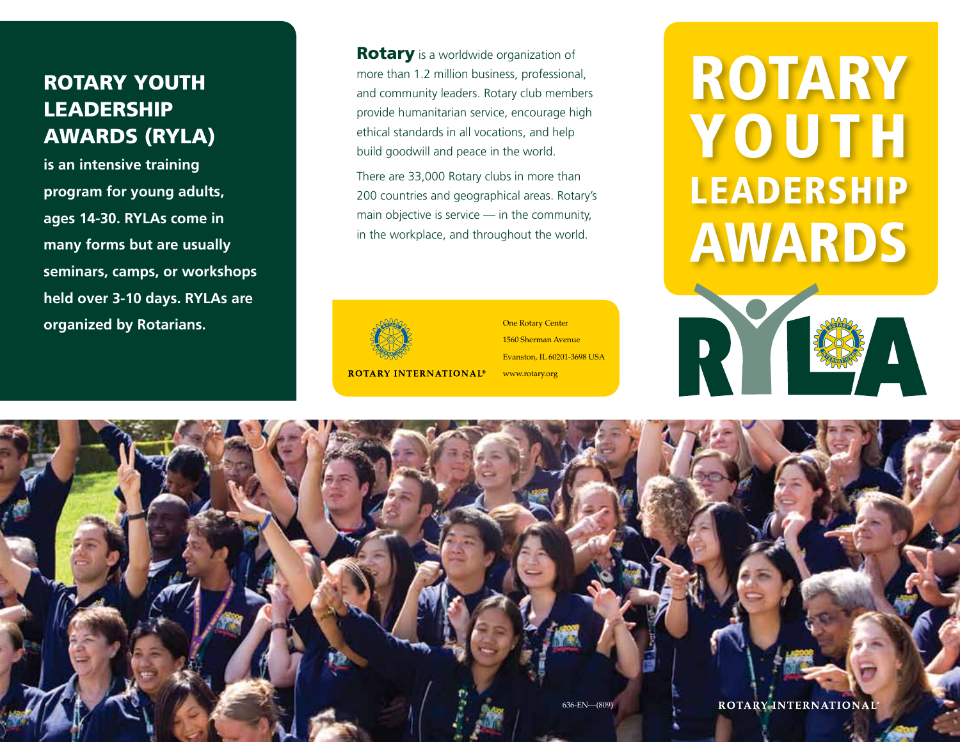### Rotary Youth **LEADERSHIP** Awards (RYLA)

**is an intensive training program for young adults, ages 14-30. RYLAs come in many forms but are usually seminars, camps, or workshops held over 3-10 days. RYLAs are organized by Rotarians.** 

**Rotary** is a worldwide organization of more than 1.2 million business, professional, and community leaders. Rotary club members provide humanitarian service, encourage high ethical standards in all vocations, and help build goodwill and peace in the world.

There are 33,000 Rotary clubs in more than 200 countries and geographical areas. Rotary's main objective is service — in the community, in the workplace, and throughout the world.



One Rotary Center 1560 Sherman Avenue Evanston, IL 60201-3698 USA www.rotary.org

# ROTARY **YOUTH** LEADERSHIP AWARDS

N